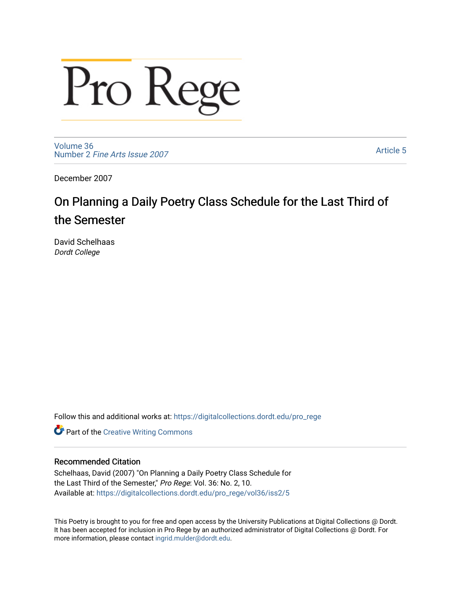# Pro Rege

[Volume 36](https://digitalcollections.dordt.edu/pro_rege/vol36) Number 2 [Fine Arts Issue 2007](https://digitalcollections.dordt.edu/pro_rege/vol36/iss2) 

[Article 5](https://digitalcollections.dordt.edu/pro_rege/vol36/iss2/5) 

December 2007

## On Planning a Daily Poetry Class Schedule for the Last Third of the Semester

David Schelhaas Dordt College

Follow this and additional works at: [https://digitalcollections.dordt.edu/pro\\_rege](https://digitalcollections.dordt.edu/pro_rege?utm_source=digitalcollections.dordt.edu%2Fpro_rege%2Fvol36%2Fiss2%2F5&utm_medium=PDF&utm_campaign=PDFCoverPages) 

**Part of the Creative Writing Commons** 

#### Recommended Citation

Schelhaas, David (2007) "On Planning a Daily Poetry Class Schedule for the Last Third of the Semester," Pro Rege: Vol. 36: No. 2, 10. Available at: [https://digitalcollections.dordt.edu/pro\\_rege/vol36/iss2/5](https://digitalcollections.dordt.edu/pro_rege/vol36/iss2/5?utm_source=digitalcollections.dordt.edu%2Fpro_rege%2Fvol36%2Fiss2%2F5&utm_medium=PDF&utm_campaign=PDFCoverPages) 

This Poetry is brought to you for free and open access by the University Publications at Digital Collections @ Dordt. It has been accepted for inclusion in Pro Rege by an authorized administrator of Digital Collections @ Dordt. For more information, please contact [ingrid.mulder@dordt.edu.](mailto:ingrid.mulder@dordt.edu)